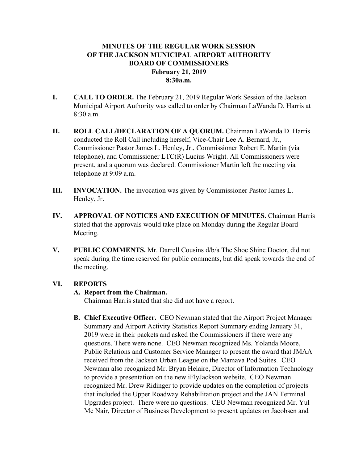# **MINUTES OF THE REGULAR WORK SESSION OF THE JACKSON MUNICIPAL AIRPORT AUTHORITY BOARD OF COMMISSIONERS February 21, 2019 8:30a.m.**

- **I. CALL TO ORDER.** The February 21, 2019 Regular Work Session of the Jackson Municipal Airport Authority was called to order by Chairman LaWanda D. Harris at 8:30 a.m.
- **II. ROLL CALL/DECLARATION OF A QUORUM.** Chairman LaWanda D. Harris conducted the Roll Call including herself, Vice-Chair Lee A. Bernard, Jr., Commissioner Pastor James L. Henley, Jr., Commissioner Robert E. Martin (via telephone), and Commissioner LTC(R) Lucius Wright. All Commissioners were present, and a quorum was declared. Commissioner Martin left the meeting via telephone at 9:09 a.m.
- **III. INVOCATION.** The invocation was given by Commissioner Pastor James L. Henley, Jr.
- **IV. APPROVAL OF NOTICES AND EXECUTION OF MINUTES.** Chairman Harris stated that the approvals would take place on Monday during the Regular Board Meeting.
- **V. PUBLIC COMMENTS.** Mr. Darrell Cousins d/b/a The Shoe Shine Doctor, did not speak during the time reserved for public comments, but did speak towards the end of the meeting.

### **VI. REPORTS**

## **A. Report from the Chairman.**

Chairman Harris stated that she did not have a report.

**B. Chief Executive Officer.** CEO Newman stated that the Airport Project Manager Summary and Airport Activity Statistics Report Summary ending January 31, 2019 were in their packets and asked the Commissioners if there were any questions. There were none. CEO Newman recognized Ms. Yolanda Moore, Public Relations and Customer Service Manager to present the award that JMAA received from the Jackson Urban League on the Mamava Pod Suites. CEO Newman also recognized Mr. Bryan Helaire, Director of Information Technology to provide a presentation on the new iFlyJackson website. CEO Newman recognized Mr. Drew Ridinger to provide updates on the completion of projects that included the Upper Roadway Rehabilitation project and the JAN Terminal Upgrades project. There were no questions. CEO Newman recognized Mr. Yul Mc Nair, Director of Business Development to present updates on Jacobsen and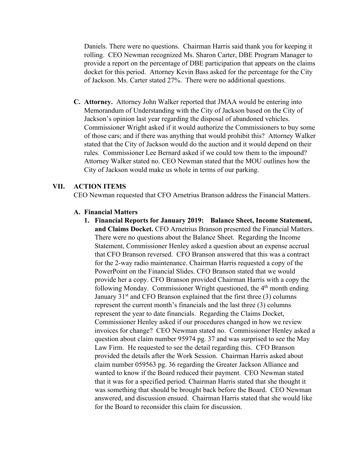Daniels. There were no questions. Chairman Harris said thank you for keeping it rolling. CEO Newman recognized Ms. Sharon Carter, DBE Program Manager to provide a report on the percentage of DBE participation that appears on the claims docket for this period. Attorney Kevin Bass asked for the percentage for the City of Jackson. Ms. Carter stated 27%. There were no additional questions.

**C. Attorney.** Attorney John Walker reported that JMAA would be entering into Memorandum of Understanding with the City of Jackson based on the City of Jackson's opinion last year regarding the disposal of abandoned vehicles. Commissioner Wright asked if it would authorize the Commissioners to buy some of those cars; and if there was anything that would prohibit this? Attorney Walker stated that the City of Jackson would do the auction and it would depend on their rules. Commissioner Lee Bernard asked if we could tow them to the impound? Attorney Walker stated no. CEO Newman stated that the MOU outlines how the City of Jackson would make us whole in terms of our parking.

#### **VII. ACTION ITEMS**

CEO Newman requested that CFO Arnetrius Branson address the Financial Matters.

#### **A. Financial Matters**

**1. Financial Reports for January 2019: Balance Sheet, Income Statement, and Claims Docket.** CFO Arnetrius Branson presented the Financial Matters. There were no questions about the Balance Sheet. Regarding the Income Statement, Commissioner Henley asked a question about an expense accrual that CFO Branson reversed. CFO Branson answered that this was a contract for the 2-way radio maintenance. Chairman Harris requested a copy of the PowerPoint on the Financial Slides. CFO Branson stated that we would provide her a copy. CFO Branson provided Chairman Harris with a copy the following Monday. Commissioner Wright questioned, the  $4<sup>th</sup>$  month ending January  $31<sup>st</sup>$  and CFO Branson explained that the first three (3) columns represent the current month's financials and the last three (3) columns represent the year to date financials. Regarding the Claims Docket, Commissioner Henley asked if our procedures changed in how we review invoices for change? CEO Newman stated no. Commissioner Henley asked a question about claim number 95974 pg. 37 and was surprised to see the May Law Firm. He requested to see the detail regarding this. CFO Branson provided the details after the Work Session. Chairman Harris asked about claim number 059563 pg. 36 regarding the Greater Jackson Alliance and wanted to know if the Board reduced their payment. CEO Newman stated that it was for a specified period. Chairman Harris stated that she thought it was something that should be brought back before the Board. CEO Newman answered, and discussion ensued. Chairman Harris stated that she would like for the Board to reconsider this claim for discussion.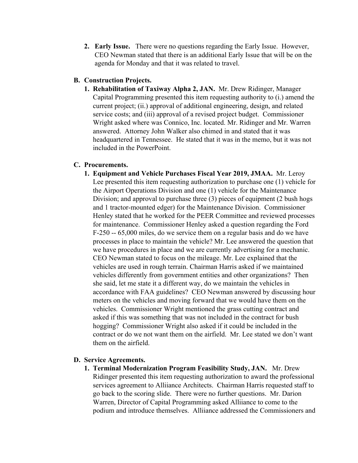**2. Early Issue.** There were no questions regarding the Early Issue. However, CEO Newman stated that there is an additional Early Issue that will be on the agenda for Monday and that it was related to travel.

### **B. Construction Projects.**

**1. Rehabilitation of Taxiway Alpha 2, JAN.** Mr. Drew Ridinger, Manager Capital Programming presented this item requesting authority to (i.) amend the current project; (ii.) approval of additional engineering, design, and related service costs; and (iii) approval of a revised project budget. Commissioner Wright asked where was Connico, Inc. located. Mr. Ridinger and Mr. Warren answered. Attorney John Walker also chimed in and stated that it was headquartered in Tennessee. He stated that it was in the memo, but it was not included in the PowerPoint.

## **C. Procurements.**

**1. Equipment and Vehicle Purchases Fiscal Year 2019, JMAA.** Mr. Leroy Lee presented this item requesting authorization to purchase one (1) vehicle for the Airport Operations Division and one (1) vehicle for the Maintenance Division; and approval to purchase three (3) pieces of equipment (2 bush hogs and 1 tractor-mounted edger) for the Maintenance Division. Commissioner Henley stated that he worked for the PEER Committee and reviewed processes for maintenance. Commissioner Henley asked a question regarding the Ford F-250 -- 65,000 miles, do we service them on a regular basis and do we have processes in place to maintain the vehicle? Mr. Lee answered the question that we have procedures in place and we are currently advertising for a mechanic. CEO Newman stated to focus on the mileage. Mr. Lee explained that the vehicles are used in rough terrain. Chairman Harris asked if we maintained vehicles differently from government entities and other organizations? Then she said, let me state it a different way, do we maintain the vehicles in accordance with FAA guidelines? CEO Newman answered by discussing hour meters on the vehicles and moving forward that we would have them on the vehicles. Commissioner Wright mentioned the grass cutting contract and asked if this was something that was not included in the contract for bush hogging? Commissioner Wright also asked if it could be included in the contract or do we not want them on the airfield. Mr. Lee stated we don't want them on the airfield.

## **D. Service Agreements.**

**1. Terminal Modernization Program Feasibility Study, JAN.** Mr. Drew Ridinger presented this item requesting authorization to award the professional services agreement to Alliiance Architects. Chairman Harris requested staff to go back to the scoring slide. There were no further questions. Mr. Darion Warren, Director of Capital Programming asked Alliiance to come to the podium and introduce themselves. Alliiance addressed the Commissioners and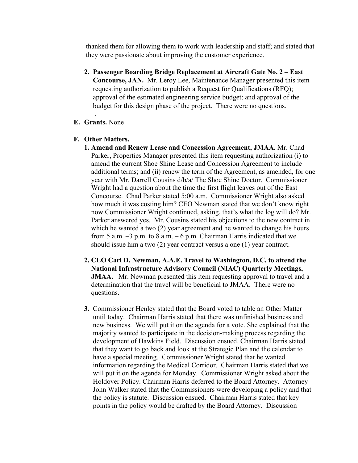thanked them for allowing them to work with leadership and staff; and stated that they were passionate about improving the customer experience.

- **2. Passenger Boarding Bridge Replacement at Aircraft Gate No. 2 – East Concourse, JAN.** Mr. Leroy Lee, Maintenance Manager presented this item requesting authorization to publish a Request for Qualifications (RFQ); approval of the estimated engineering service budget; and approval of the budget for this design phase of the project. There were no questions.
- . **E. Grants.** None
- **F. Other Matters.** 
	- **1. Amend and Renew Lease and Concession Agreement, JMAA.** Mr. Chad Parker, Properties Manager presented this item requesting authorization (i) to amend the current Shoe Shine Lease and Concession Agreement to include additional terms; and (ii) renew the term of the Agreement, as amended, for one year with Mr. Darrell Cousins d/b/a/ The Shoe Shine Doctor. Commissioner Wright had a question about the time the first flight leaves out of the East Concourse. Chad Parker stated 5:00 a.m. Commissioner Wright also asked how much it was costing him? CEO Newman stated that we don't know right now Commissioner Wright continued, asking, that's what the log will do? Mr. Parker answered yes. Mr. Cousins stated his objections to the new contract in which he wanted a two (2) year agreement and he wanted to change his hours from 5 a.m.  $-3$  p.m. to 8 a.m.  $-6$  p.m. Chairman Harris indicated that we should issue him a two (2) year contract versus a one (1) year contract.
	- **2. CEO Carl D. Newman, A.A.E. Travel to Washington, D.C. to attend the National Infrastructure Advisory Council (NIAC) Quarterly Meetings, JMAA.** Mr. Newman presented this item requesting approval to travel and a determination that the travel will be beneficial to JMAA. There were no questions.
	- **3.** Commissioner Henley stated that the Board voted to table an Other Matter until today. Chairman Harris stated that there was unfinished business and new business. We will put it on the agenda for a vote. She explained that the majority wanted to participate in the decision-making process regarding the development of Hawkins Field. Discussion ensued. Chairman Harris stated that they want to go back and look at the Strategic Plan and the calendar to have a special meeting. Commissioner Wright stated that he wanted information regarding the Medical Corridor. Chairman Harris stated that we will put it on the agenda for Monday. Commissioner Wright asked about the Holdover Policy. Chairman Harris deferred to the Board Attorney. Attorney John Walker stated that the Commissioners were developing a policy and that the policy is statute. Discussion ensued. Chairman Harris stated that key points in the policy would be drafted by the Board Attorney. Discussion